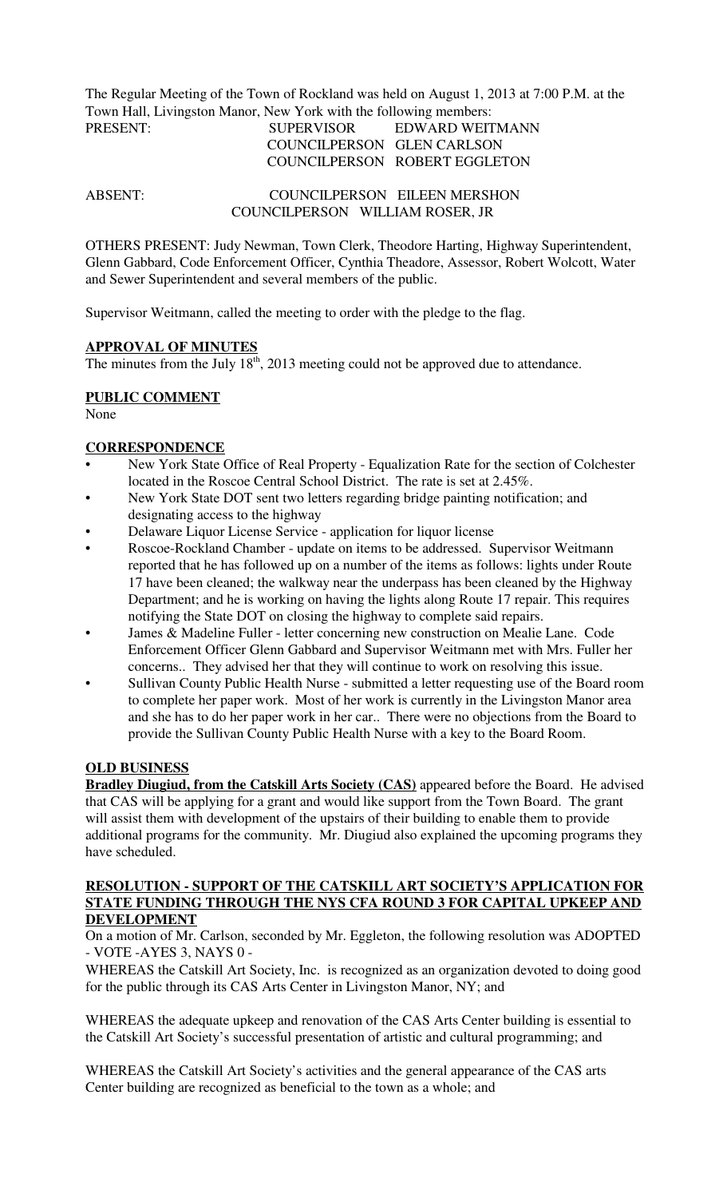The Regular Meeting of the Town of Rockland was held on August 1, 2013 at 7:00 P.M. at the Town Hall, Livingston Manor, New York with the following members:

# PRESENT: SUPERVISOR EDWARD WEITMANN COUNCILPERSON GLEN CARLSON COUNCILPERSON ROBERT EGGLETON

ABSENT: COUNCILPERSON EILEEN MERSHON COUNCILPERSON WILLIAM ROSER, JR

OTHERS PRESENT: Judy Newman, Town Clerk, Theodore Harting, Highway Superintendent, Glenn Gabbard, Code Enforcement Officer, Cynthia Theadore, Assessor, Robert Wolcott, Water and Sewer Superintendent and several members of the public.

Supervisor Weitmann, called the meeting to order with the pledge to the flag.

#### **APPROVAL OF MINUTES**

The minutes from the July  $18<sup>th</sup>$ , 2013 meeting could not be approved due to attendance.

#### **PUBLIC COMMENT**

None

#### **CORRESPONDENCE**

- New York State Office of Real Property Equalization Rate for the section of Colchester located in the Roscoe Central School District. The rate is set at 2.45%.
- New York State DOT sent two letters regarding bridge painting notification; and designating access to the highway
- Delaware Liquor License Service application for liquor license
- Roscoe-Rockland Chamber update on items to be addressed. Supervisor Weitmann reported that he has followed up on a number of the items as follows: lights under Route 17 have been cleaned; the walkway near the underpass has been cleaned by the Highway Department; and he is working on having the lights along Route 17 repair. This requires notifying the State DOT on closing the highway to complete said repairs.
- James & Madeline Fuller letter concerning new construction on Mealie Lane. Code Enforcement Officer Glenn Gabbard and Supervisor Weitmann met with Mrs. Fuller her concerns.. They advised her that they will continue to work on resolving this issue.
- Sullivan County Public Health Nurse submitted a letter requesting use of the Board room to complete her paper work. Most of her work is currently in the Livingston Manor area and she has to do her paper work in her car.. There were no objections from the Board to provide the Sullivan County Public Health Nurse with a key to the Board Room.

# **OLD BUSINESS**

**Bradley Diugiud, from the Catskill Arts Society (CAS)** appeared before the Board. He advised that CAS will be applying for a grant and would like support from the Town Board. The grant will assist them with development of the upstairs of their building to enable them to provide additional programs for the community. Mr. Diugiud also explained the upcoming programs they have scheduled.

#### **RESOLUTION - SUPPORT OF THE CATSKILL ART SOCIETY'S APPLICATION FOR STATE FUNDING THROUGH THE NYS CFA ROUND 3 FOR CAPITAL UPKEEP AND DEVELOPMENT**

On a motion of Mr. Carlson, seconded by Mr. Eggleton, the following resolution was ADOPTED - VOTE -AYES 3, NAYS 0 -

WHEREAS the Catskill Art Society, Inc. is recognized as an organization devoted to doing good for the public through its CAS Arts Center in Livingston Manor, NY; and

WHEREAS the adequate upkeep and renovation of the CAS Arts Center building is essential to the Catskill Art Society's successful presentation of artistic and cultural programming; and

WHEREAS the Catskill Art Society's activities and the general appearance of the CAS arts Center building are recognized as beneficial to the town as a whole; and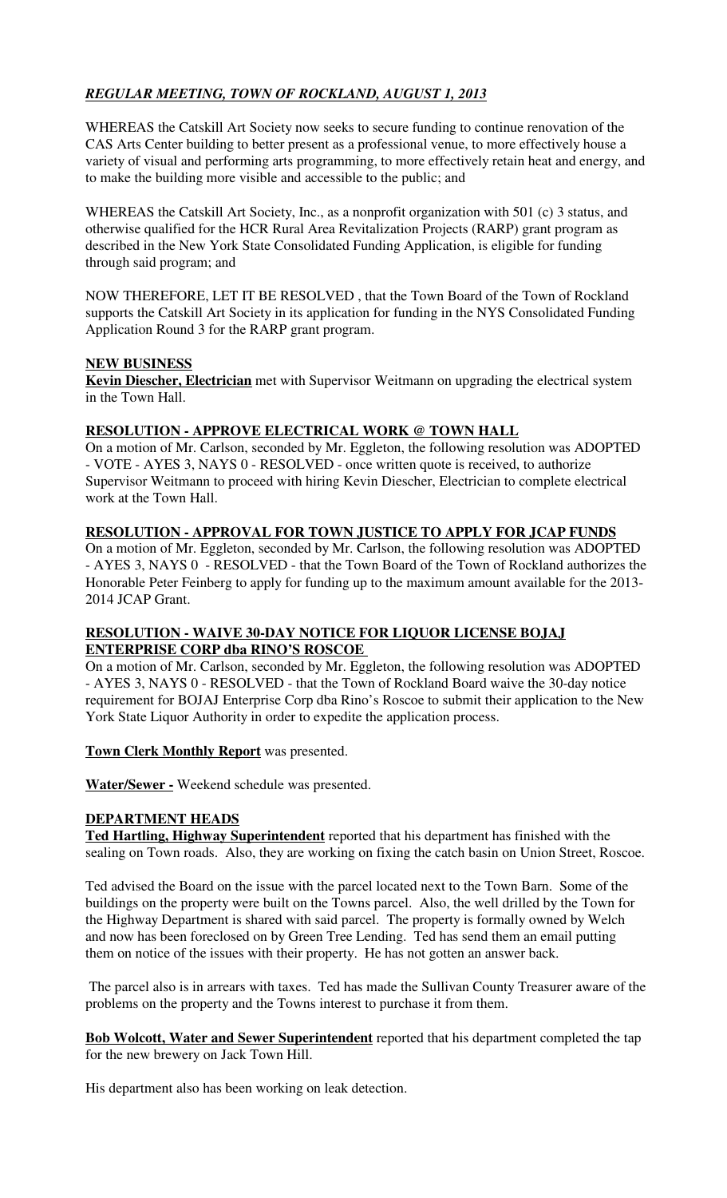# *REGULAR MEETING, TOWN OF ROCKLAND, AUGUST 1, 2013*

WHEREAS the Catskill Art Society now seeks to secure funding to continue renovation of the CAS Arts Center building to better present as a professional venue, to more effectively house a variety of visual and performing arts programming, to more effectively retain heat and energy, and to make the building more visible and accessible to the public; and

WHEREAS the Catskill Art Society, Inc., as a nonprofit organization with 501 (c) 3 status, and otherwise qualified for the HCR Rural Area Revitalization Projects (RARP) grant program as described in the New York State Consolidated Funding Application, is eligible for funding through said program; and

NOW THEREFORE, LET IT BE RESOLVED , that the Town Board of the Town of Rockland supports the Catskill Art Society in its application for funding in the NYS Consolidated Funding Application Round 3 for the RARP grant program.

# **NEW BUSINESS**

**Kevin Diescher, Electrician** met with Supervisor Weitmann on upgrading the electrical system in the Town Hall.

# **RESOLUTION - APPROVE ELECTRICAL WORK @ TOWN HALL**

On a motion of Mr. Carlson, seconded by Mr. Eggleton, the following resolution was ADOPTED - VOTE - AYES 3, NAYS 0 - RESOLVED - once written quote is received, to authorize Supervisor Weitmann to proceed with hiring Kevin Diescher, Electrician to complete electrical work at the Town Hall.

# **RESOLUTION - APPROVAL FOR TOWN JUSTICE TO APPLY FOR JCAP FUNDS**

On a motion of Mr. Eggleton, seconded by Mr. Carlson, the following resolution was ADOPTED - AYES 3, NAYS 0 - RESOLVED - that the Town Board of the Town of Rockland authorizes the Honorable Peter Feinberg to apply for funding up to the maximum amount available for the 2013- 2014 JCAP Grant.

## **RESOLUTION - WAIVE 30-DAY NOTICE FOR LIQUOR LICENSE BOJAJ ENTERPRISE CORP dba RINO'S ROSCOE**

On a motion of Mr. Carlson, seconded by Mr. Eggleton, the following resolution was ADOPTED - AYES 3, NAYS 0 - RESOLVED - that the Town of Rockland Board waive the 30-day notice requirement for BOJAJ Enterprise Corp dba Rino's Roscoe to submit their application to the New York State Liquor Authority in order to expedite the application process.

**Town Clerk Monthly Report** was presented.

**Water/Sewer -** Weekend schedule was presented.

## **DEPARTMENT HEADS**

**Ted Hartling, Highway Superintendent** reported that his department has finished with the sealing on Town roads. Also, they are working on fixing the catch basin on Union Street, Roscoe.

Ted advised the Board on the issue with the parcel located next to the Town Barn. Some of the buildings on the property were built on the Towns parcel. Also, the well drilled by the Town for the Highway Department is shared with said parcel. The property is formally owned by Welch and now has been foreclosed on by Green Tree Lending. Ted has send them an email putting them on notice of the issues with their property. He has not gotten an answer back.

 The parcel also is in arrears with taxes. Ted has made the Sullivan County Treasurer aware of the problems on the property and the Towns interest to purchase it from them.

**Bob Wolcott, Water and Sewer Superintendent** reported that his department completed the tap for the new brewery on Jack Town Hill.

His department also has been working on leak detection.